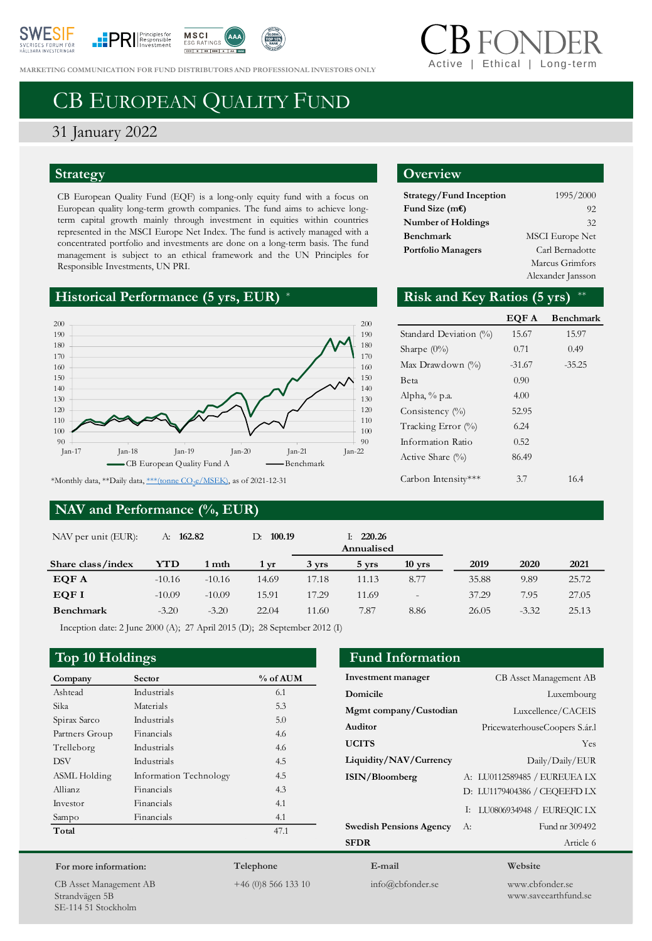





**MARKETING COMMUNICATION FOR FUND DISTRIBUTORS AND PROFESSIONAL INVESTORS ONLY** 

# Ethical | Long-terr

# CB EUROPEAN QUALITY FUND

## 31 January 2022

### **Strategy**

CB European Quality Fund (EQF) is a long-only equity fund with a focus on European quality long-term growth companies. The fund aims to achieve longterm capital growth mainly through investment in equities within countries represented in the MSCI Europe Net Index. The fund is actively managed with a concentrated portfolio and investments are done on a long-term basis. The fund management is subject to an ethical framework and the UN Principles for Responsible Investments, UN PRI.

### **Historical Performance (5 yrs, EUR)**



### **NAV and Performance (%, EUR)**

### **Overview**

| Strategy/Fund Inception   | 1995/2000              |
|---------------------------|------------------------|
| Fund Size $(mE)$          | 92                     |
| <b>Number of Holdings</b> | 32                     |
| Benchmark                 | <b>MSCI</b> Europe Net |
| <b>Portfolio Managers</b> | Carl Bernadotte        |
|                           | Marcus Grimfors        |
|                           | Alexander Jansson      |

### Risk and Key Ratios  $(5 \text{ yrs})$  \*\*

|                        | EQF A    | <b>Benchmark</b> |
|------------------------|----------|------------------|
| Standard Deviation (%) | 15.67    | 15.97            |
| Sharpe $(0\%)$         | 0.71     | 0.49             |
| Max Drawdown $(\% )$   | $-31.67$ | $-35.25$         |
| Beta                   | 0.90     |                  |
| Alpha, % p.a.          | 4.00     |                  |
| Consistency $(\%)$     | 52.95    |                  |
| Tracking Error (%)     | 6.24     |                  |
| Information Ratio      | 0.52     |                  |
| Active Share $(\%)$    | 86.49    |                  |
| Carbon Intensity***    | 3.7      | 16.4             |

**Investment manager** CB Asset Management AB **Domicile** Luxembourg **Mgmt company/Custodian** Luxcellence/CACEIS **Auditor** PricewaterhouseCoopers S.ár.l **UCITS** Yes **Liquidity/NAV/Currency** Daily/Daily/EUR **ISIN/Bloomberg** A: LU0112589485 / EUREUEA LX

**Swedish Pensions Agency** A: Fund nr 309492 **SFDR** Article 6

| NAV per unit (EUR): | 162.82<br>А: |          | 100.19<br>D:     |                   | 220.26<br>Ŀ.<br>Annualised |                   |       |         |       |
|---------------------|--------------|----------|------------------|-------------------|----------------------------|-------------------|-------|---------|-------|
| Share class/index   | YTD          | 1 mth    | $1 \, \text{vr}$ | $3 \, \text{vrs}$ | 5 yrs                      | $10$ yrs          | 2019  | 2020    | 2021  |
| EQF A               | $-10.16$     | $-10.16$ | 14.69            | 17.18             | 11.13                      | 8.77              | 35.88 | 9.89    | 25.72 |
| EQF I               | $-10.09$     | $-10.09$ | 15.91            | 17.29             | 11.69                      | $\qquad \qquad -$ | 37.29 | 7.95    | 27.05 |
| Benchmark           | $-3.20$      | $-3.20$  | 22.04            | 11.60             | 7.87                       | 8.86              | 26.05 | $-3.32$ | 25.13 |

Inception date: 2 June 2000 (A); 27 April 2015 (D); 28 September 2012 (I)

### **Top 10 Holdings Fund Information**

| -              |                        |          |
|----------------|------------------------|----------|
| Company        | Sector                 | % of AUM |
| Ashtead        | Industrials            | 6.1      |
| Sika           | Materials              | 5.3      |
| Spirax Sarco   | Industrials            | 5.0      |
| Partners Group | Financials             | 4.6      |
| Trelleborg     | Industrials            | 4.6      |
| <b>DSV</b>     | Industrials            | 4.5      |
| ASML Holding   | Information Technology | 4.5      |
| Allianz        | Financials             | 4.3      |
| Investor       | Financials             | 4.1      |
| Sampo          | Financials             | 4.1      |
| Total          |                        | 47.1     |
|                |                        |          |

### **For more information:**

CB Asset Management AB Strandvägen 5B SE-114 51 Stockholm

# **Telephone**

+46 (0)8 566 133 10

**E-mail** info@cbfonder.se

### **Website**

D: LU1179404386 / CEQEEFD LX I: LU0806934948 / EUREQIC LX

> www.cbfonder.se www.saveearthfund.se